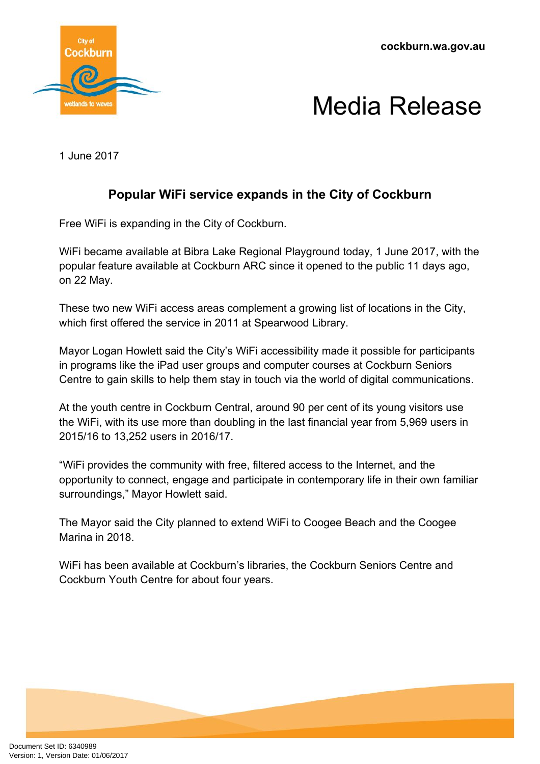**cockburn.wa.gov.au**





1 June 2017

# **Popular WiFi service expands in the City of Cockburn**

Free WiFi is expanding in the City of Cockburn.

WiFi became available at Bibra Lake Regional Playground today, 1 June 2017, with the popular feature available at Cockburn ARC since it opened to the public 11 days ago, on 22 May.

These two new WiFi access areas complement a growing list of locations in the City, which first offered the service in 2011 at Spearwood Library.

Mayor Logan Howlett said the City's WiFi accessibility made it possible for participants in programs like the iPad user groups and computer courses at Cockburn Seniors Centre to gain skills to help them stay in touch via the world of digital communications.

At the youth centre in Cockburn Central, around 90 per cent of its young visitors use the WiFi, with its use more than doubling in the last financial year from 5,969 users in 2015/16 to 13,252 users in 2016/17.

"WiFi provides the community with free, filtered access to the Internet, and the opportunity to connect, engage and participate in contemporary life in their own familiar surroundings," Mayor Howlett said.

The Mayor said the City planned to extend WiFi to Coogee Beach and the Coogee Marina in 2018.

WiFi has been available at Cockburn's libraries, the Cockburn Seniors Centre and Cockburn Youth Centre for about four years.